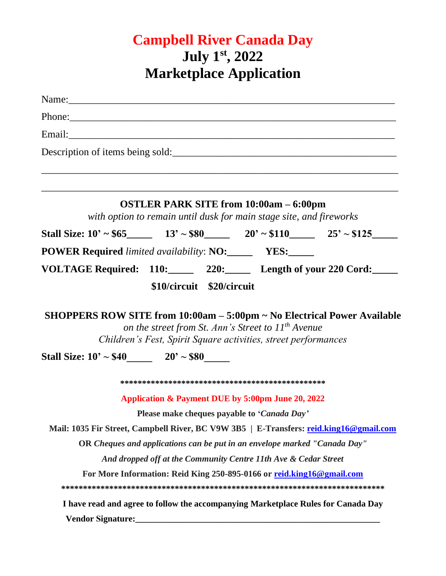## **Campbell River Canada Day July 1st, 2022 Marketplace Application**

| Name: Name and the set of the set of the set of the set of the set of the set of the set of the set of the set of the set of the set of the set of the set of the set of the set of the set of the set of the set of the set o |                                                                                                                           |  |
|--------------------------------------------------------------------------------------------------------------------------------------------------------------------------------------------------------------------------------|---------------------------------------------------------------------------------------------------------------------------|--|
| Phone: 2008 and 2008 and 2008 and 2008 and 2008 and 2008 and 2008 and 2008 and 2008 and 2008 and 2008 and 2008 and 2008 and 2008 and 2008 and 2008 and 2008 and 2008 and 2008 and 2008 and 2008 and 2008 and 2008 and 2008 and |                                                                                                                           |  |
|                                                                                                                                                                                                                                |                                                                                                                           |  |
| Description of items being sold:                                                                                                                                                                                               |                                                                                                                           |  |
|                                                                                                                                                                                                                                | ,我们也不能会有什么。""我们的人,我们也不能会有什么?""我们的人,我们也不能会有什么?""我们的人,我们也不能会有什么?""我们的人,我们也不能会有什么?""                                         |  |
|                                                                                                                                                                                                                                | <b>OSTLER PARK SITE from 10:00am - 6:00pm</b><br>with option to remain until dusk for main stage site, and fireworks      |  |
| Stall Size: $10' \sim $65$ 13' $\sim $80$ 20' $\sim $110$ 25' $\sim $125$                                                                                                                                                      |                                                                                                                           |  |
| <b>POWER Required</b> limited availability: NO:________ YES:_____                                                                                                                                                              |                                                                                                                           |  |
| VOLTAGE Required: 110: 220: Length of your 220 Cord:                                                                                                                                                                           |                                                                                                                           |  |
|                                                                                                                                                                                                                                | \$10/circuit \$20/circuit                                                                                                 |  |
|                                                                                                                                                                                                                                | on the street from St. Ann's Street to $11^{th}$ Avenue<br>Children's Fest, Spirit Square activities, street performances |  |
| Stall Size: $10' \sim $40$ 20' ~ \$80                                                                                                                                                                                          |                                                                                                                           |  |
|                                                                                                                                                                                                                                |                                                                                                                           |  |
|                                                                                                                                                                                                                                | Application & Payment DUE by 5:00pm June 20, 2022                                                                         |  |
|                                                                                                                                                                                                                                | Please make cheques payable to 'Canada Day'                                                                               |  |
| Mail: 1035 Fir Street, Campbell River, BC V9W 3B5   E-Transfers: reid.king16@gmail.com                                                                                                                                         |                                                                                                                           |  |
|                                                                                                                                                                                                                                | OR Cheques and applications can be put in an envelope marked "Canada Day"                                                 |  |
|                                                                                                                                                                                                                                | And dropped off at the Community Centre 11th Ave & Cedar Street                                                           |  |
|                                                                                                                                                                                                                                | For More Information: Reid King 250-895-0166 or reid.king16@gmail.com                                                     |  |
|                                                                                                                                                                                                                                | I have read and agree to follow the accompanying Marketplace Rules for Canada Day                                         |  |
|                                                                                                                                                                                                                                |                                                                                                                           |  |
|                                                                                                                                                                                                                                |                                                                                                                           |  |